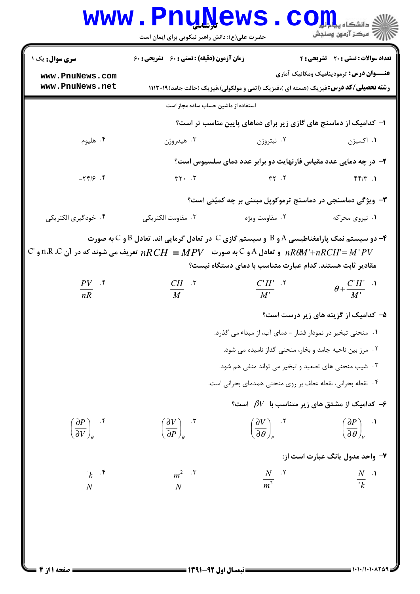|                                                    | www.PnuNews.<br>حضرت علی(ع): دانش راهبر نیکویی برای ایمان است                                                                                  |                                                                                              | $\mathbf{C}\mathbf{O}\mathbf{H}$<br>رآ - مرڪز آزمون وسنڊش                                                                                                   |  |  |
|----------------------------------------------------|------------------------------------------------------------------------------------------------------------------------------------------------|----------------------------------------------------------------------------------------------|-------------------------------------------------------------------------------------------------------------------------------------------------------------|--|--|
| سری سوال: یک ۱                                     | زمان آزمون (دقیقه) : تستی : 60 ٪ تشریحی : 60                                                                                                   |                                                                                              | <b>تعداد سوالات : تستی : 20 - تشریحی : 4</b>                                                                                                                |  |  |
| www.PnuNews.com<br>www.PnuNews.net                 |                                                                                                                                                | <b>رشته تحصیلی/کد درس:</b> فیزیک (هسته ای )،فیزیک (اتمی و مولکولی)،فیزیک (حالت جامد) ۱۱۱۳۰۱۹ | <b>عنـــوان درس:</b> ترمودینامیک ومکانیک آماری                                                                                                              |  |  |
| استفاده از ماشین حساب ساده مجاز است                |                                                                                                                                                |                                                                                              |                                                                                                                                                             |  |  |
|                                                    |                                                                                                                                                | ا– کدامیک از دماسنج های گازی زیر برای دماهای پایین مناسب تر است؟                             |                                                                                                                                                             |  |  |
| ۰۴ هليوم                                           | ۰۳ هيدروژن                                                                                                                                     | ۰۲ نیتروژن                                                                                   | ۰۱ اکسیژن                                                                                                                                                   |  |  |
|                                                    |                                                                                                                                                | ۲- در چه دمایی عدد مقیاس فارنهایت دو برابر عدد دمای سلسیوس است؟                              |                                                                                                                                                             |  |  |
| $-79/9.9$                                          | $rr \cdot \cdot \tau$                                                                                                                          | $\gamma$ $\gamma$                                                                            | f(f Y.1)                                                                                                                                                    |  |  |
|                                                    |                                                                                                                                                | <b>۳</b> - ویژگی دماسنجی در دماسنج ترموکوپل مبتنی بر چه کمیّتی است؟                          |                                                                                                                                                             |  |  |
| ۰۴ خودگیری الکتریکی                                | ۰۳ مقاومت الكتريكي                                                                                                                             | ۰۲ مقاومت ویژه                                                                               | ۰۱ نیروی محرّکه                                                                                                                                             |  |  |
| $\frac{PV}{nR}$ .*                                 | $\mathbb C$ ا ،R $\mathbb R$ ،R ،C و تعادل A و $\mathbb C$ به صورت $NPV$ $R$ $CH = R$ تعریف می شوند که در آن n،R ،C و $n$<br>$\frac{CH}{M}$ .* | مقادیر ثابت هستند. کدام عبارت متناسب با دمای دستگاه نیست؟<br>$\frac{CH'}{M'}$ $\cdot$        | $\theta + \frac{C'H'}{M'}$ .                                                                                                                                |  |  |
|                                                    | ۵– کدامیک از گزینه های زیر درست است؟                                                                                                           |                                                                                              |                                                                                                                                                             |  |  |
|                                                    | ۰۱ منحنی تبخیر در نمودار فشار - دمای آب، از مبداء می گذرد.<br>۰۲ مرز بین ناحیه جامد و بخار، منحنی گداز نامیده می شود.                          |                                                                                              |                                                                                                                                                             |  |  |
|                                                    |                                                                                                                                                |                                                                                              |                                                                                                                                                             |  |  |
|                                                    | ۰۳ شیب منحنی های تصعید و تبخیر می تواند منفی هم شود.<br>۰۴ نقطه بحرانی، نقطه عطف بر روی منحنی همدمای بحرانی است.                               |                                                                                              |                                                                                                                                                             |  |  |
|                                                    |                                                                                                                                                |                                                                                              |                                                                                                                                                             |  |  |
|                                                    |                                                                                                                                                | ۰۶ کدامیک از مشتق های زیر متناسب با $\beta V$ است؟ $\cdot$                                   |                                                                                                                                                             |  |  |
| $\left(\frac{\partial P}{\partial V}\right)_{a}$ . | $\left(\frac{\partial V}{\partial P}\right)_{a}$ .                                                                                             |                                                                                              | $\left(\frac{\partial V}{\partial \theta}\right)_n$ $\left(\frac{\partial P}{\partial \theta}\right)_n$ $\left(\frac{\partial P}{\partial \theta}\right)_n$ |  |  |
|                                                    |                                                                                                                                                |                                                                                              | ۷- واحد مدول یانگ عبارت است از:                                                                                                                             |  |  |
| $\frac{R}{N}$ $\cdot$ $\frac{S}{N}$                | $\frac{m^2}{N}$ . $\frac{8}{N}$                                                                                                                | $\frac{N}{m^2}$ . T                                                                          | $\frac{N}{\sigma_L}$ .                                                                                                                                      |  |  |
|                                                    |                                                                                                                                                |                                                                                              |                                                                                                                                                             |  |  |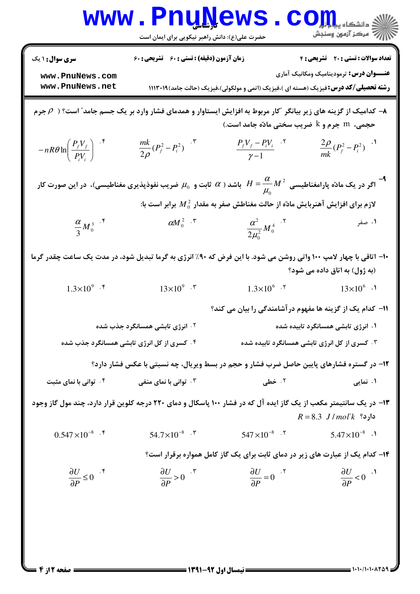|                                                                                                                                                                      | <b>LLV</b><br>حضرت علی(ع): دانش راهبر نیکویی برای ایمان است |                                                                                              | د دانشکاه پ <mark>یا ب</mark> ا ت <mark>و</mark><br>بِ ۖ مرڪز آزمون وسنڊش             |  |  |
|----------------------------------------------------------------------------------------------------------------------------------------------------------------------|-------------------------------------------------------------|----------------------------------------------------------------------------------------------|---------------------------------------------------------------------------------------|--|--|
| <b>سری سوال : ۱ یک</b><br>www.PnuNews.com<br>www.PnuNews.net                                                                                                         | زمان آزمون (دقیقه) : تستی : 60 ٪ تشریحی : 60                | <b>رشته تحصیلی/کد درس:</b> فیزیک (هسته ای )،فیزیک (اتمی و مولکولی)،فیزیک (حالت جامد) ۱۱۱۳۰۱۹ | تعداد سوالات : تستى : 20 تشريحي : 4<br><b>عنـــوان درس:</b> ترمودینامیک ومکانیک آماری |  |  |
| دامیک از گزینه های زیر بیانگر "کار مربوط به افزایش ایستاوار و همدمای فشار وارد بر یک جسم جامد" است؟ ( $\rho$ جرم $\to$<br>حجمی، m جرم و k ضریب سختی مادّه جامد است.) |                                                             |                                                                                              |                                                                                       |  |  |
| $-nR\theta\ln\left(\frac{P_fV_f}{P_iV_i}\right)^{-\dagger}$                                                                                                          | $\frac{mk}{2\rho}(P_f^2 - P_i^2)^{-\tau}$                   | $\frac{P_f V_f - P_i V_i}{\gamma - 1}$ . T                                                   | $\frac{2\rho}{mk}(P_f^2 - P_i^2)^{-1}$                                                |  |  |
| اگر در یک مادّه پارامغناطیسی $M^{\,2}\,$ $H=\dfrac{\alpha}{\mu_0}$ باشد ( $\alpha$ ثابت و $\mu_0$ ضریب نفوذپذیری مغناطیسی)، در این صورت کار $\mu_0$                  |                                                             |                                                                                              |                                                                                       |  |  |
|                                                                                                                                                                      |                                                             | لازم برای افزایش آهنربایش مادّه از حالت مغناطش صفر به مقدار $M^2_{\,0}$ برابر است با:        |                                                                                       |  |  |
| $\frac{\alpha}{3}M_0^{3}$ . f                                                                                                                                        | $\alpha M_0^2$ . $\zeta$                                    | $\frac{\alpha^2}{2\mu_0^2} M_0^4$ .                                                          | ۰۱ صفر<br>-                                                                           |  |  |
| ۱۰- اتاقی با چهار لامپ ۱۰۰ واتی روشن می شود. با این فرض که ۹۰٪ انرژی به گرما تبدیل شود، در مدت یک ساعت چقدر گرما<br>(به ژول) به اتاق داده می شود؟                    |                                                             |                                                                                              |                                                                                       |  |  |
| $1.3 \times 10^{9}$ . f                                                                                                                                              | $13\times10^{9}$ . $\degree$                                | $1.3 \times 10^{6}$ .                                                                        | $13\times10^{6}$ .                                                                    |  |  |
|                                                                                                                                                                      |                                                             | 1۱– کدام یک از گزینه ها مفهوم در آشامندگی را بیان می کند؟                                    |                                                                                       |  |  |
|                                                                                                                                                                      | <b>۲ . انرژی تابشی همسانگرد جذب شده</b>                     |                                                                                              | ۰۱ انرژی تابشی همسانگرد تابیده شده                                                    |  |  |
| ۰۴ کسری از کل انرژی تابشی همسانگرد جذب شده<br>۰۳ کسری از کل انرژی تابشی همسانگرد تابیده شده                                                                          |                                                             |                                                                                              |                                                                                       |  |  |
|                                                                                                                                                                      |                                                             | ۱۲- در گستره فشارهای پایین حاصل ضرب فشار و حجم در بسط ویریال، چه نسبتی با عکس فشار دارد؟     |                                                                                       |  |  |
| <b>4 . توانی با نمای مثبت</b>                                                                                                                                        | ۰۳ توانی با نمای منفی                                       | ۰۲ خطی                                                                                       | ۰۱ نمایی                                                                              |  |  |
| ۱۳- در یک سانتیمتر مکعب از یک گاز ایده آل که در فشار ۱۰۰ پاسکال و دمای ۲۲۰ درجه کلوین قرار دارد، چند مول گاز وجود<br>$R = 8.3$ $J/mol^{\circ}k$ دارد؟                |                                                             |                                                                                              |                                                                                       |  |  |
| $0.547 \times 10^{-8}$ .                                                                                                                                             | $54.7\times10^{-8}$ . $\sqrt{ }$                            | $547 \times 10^{-8}$ .                                                                       | $5.47 \times 10^{-8}$ .                                                               |  |  |
|                                                                                                                                                                      |                                                             | ۱۴- کدام یک از عبارت های زیر در دمای ثابت برای یک گاز کامل همواره برقرار است؟                |                                                                                       |  |  |
| $\frac{\partial U}{\partial P} \leq 0$                                                                                                                               | $\frac{\partial U}{\partial P} > 0$ .                       | $\frac{\partial U}{\partial P} = 0$                                                          | $\frac{\partial U}{\partial P}$ < 0 <sup>.1</sup>                                     |  |  |
|                                                                                                                                                                      |                                                             |                                                                                              |                                                                                       |  |  |

1.1.1.1.1.209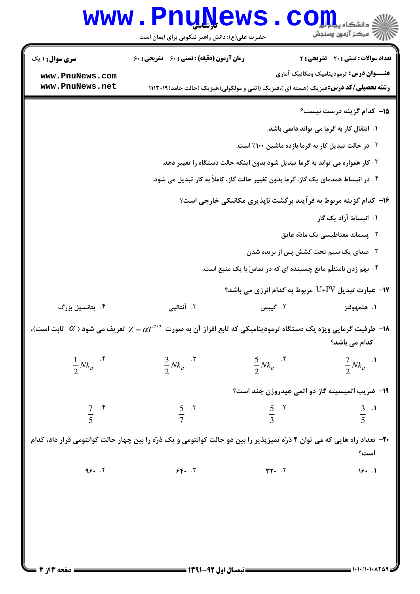| <b>WWW</b>                                                                                                                                          | <b>Trine</b><br>حضرت علی(ع): دانش راهبر نیکویی برای ایمان است                                 |                                                | د دانشکاه پ <b>یا ب<sup>ا</sup> تو<mark>ر</mark></b><br>رِ ۖ مرڪز آزمون وسنڊش |  |  |
|-----------------------------------------------------------------------------------------------------------------------------------------------------|-----------------------------------------------------------------------------------------------|------------------------------------------------|-------------------------------------------------------------------------------|--|--|
| <b>سری سوال : ۱ یک</b>                                                                                                                              | زمان آزمون (دقیقه) : تستی : ۶۰٪ تشریحی : ۶۰                                                   |                                                | <b>تعداد سوالات : تستی : 20 تشریحی : 4</b>                                    |  |  |
| www.PnuNews.com<br>www.PnuNews.net                                                                                                                  | <b>رشته تحصیلی/کد درس:</b> فیزیک (هسته ای )،فیزیک (اتمی و مولکولی)،فیزیک (حالت جامد)۱۱۱۳۰۱۹ ( |                                                | <b>عنـــوان درس:</b> ترمودینامیک ومکانیک آماری                                |  |  |
|                                                                                                                                                     |                                                                                               |                                                |                                                                               |  |  |
|                                                                                                                                                     |                                                                                               |                                                | <b>۱۵</b> – کدام گزینه درست <u>نیست؟</u>                                      |  |  |
|                                                                                                                                                     |                                                                                               |                                                | ۱. انتقال کار به گرما می تواند دائمی باشد.                                    |  |  |
|                                                                                                                                                     | ۰۲ در حالت تبدیل کار به گرما بازده ماشین ۱۰۰٪ است.                                            |                                                |                                                                               |  |  |
| ۰۳ کار همواره می تواند به گرما تبدیل شود بدون اینکه حالت دستگاه را تغییر دهد.                                                                       |                                                                                               |                                                |                                                                               |  |  |
| ۰۴ در انبساط همدمای یک گاز، گرما بدون تغییر حالت گاز، کاملاً به کار تبدیل می شود.                                                                   |                                                                                               |                                                |                                                                               |  |  |
| ۱۶- کدام گزینه مربوط به فرآیند برگشت ناپذیری مکانیکی خارجی است؟                                                                                     |                                                                                               |                                                |                                                                               |  |  |
|                                                                                                                                                     | ۱. انبساط آزاد یک گاز                                                                         |                                                |                                                                               |  |  |
|                                                                                                                                                     |                                                                                               |                                                | ۰۲ پسماند مغناطیسی یک مادّه عایق                                              |  |  |
|                                                                                                                                                     |                                                                                               |                                                | ۰۳ صدای یک سیم تحت کشش پس از بریده شدن                                        |  |  |
|                                                                                                                                                     |                                                                                               |                                                | ۰۴ بهم زدن نامنظّم مایع چسبنده ای که در تماسّ با یک منبع است.                 |  |  |
|                                                                                                                                                     |                                                                                               |                                                | ا— عبارت تبدیل U+PV مربوط به کدام انرژی می باشد؟ $\blacksquare$               |  |  |
| ۰۴ پتانسیل بزرگ                                                                                                                                     | ۰۳ آنتالپی                                                                                    | ۰۲ گیبس                                        | ١. هلمهولتز                                                                   |  |  |
| ا— ظرفیت گرمایی ویژه یک دستگاه ترمودینامیکی که تابع افراز آن به صورت $\alpha T^{7/2}$ تعریف می شود ( $\alpha$ ثابت است)، $\bullet$<br>كدام مى باشد؟ |                                                                                               |                                                |                                                                               |  |  |
| $\frac{1}{2} N k_B$ . $\zeta$                                                                                                                       | $\frac{3}{2} N k_B$ $\cdot$ $\cdot$                                                           | $\frac{5}{2} N k_B$ . <sup>7</sup>             | $\frac{7}{2} N k_B$ .                                                         |  |  |
|                                                                                                                                                     |                                                                                               | ۱۹- ضریب اتمیسیته گاز دو اتمی هیدروژن چند است؟ |                                                                               |  |  |
| $\frac{7}{5}$ . f                                                                                                                                   | $rac{5}{7}$ . r                                                                               | $rac{5}{3}$ . T                                | $\frac{3}{5}$ .                                                               |  |  |
| ۲۰- تعداد راه هایی که می توان ۴ ذرّه تمیزپذیر را بین دو حالت کوانتومی و یک ذرّه را بین چهار حالت کوانتومی قرار داد، کدام                            |                                                                                               |                                                |                                                                               |  |  |
|                                                                                                                                                     |                                                                                               |                                                | است؟                                                                          |  |  |
| 99.7                                                                                                                                                | 5F.                                                                                           | $rr - 5$                                       | 18.1                                                                          |  |  |
|                                                                                                                                                     |                                                                                               |                                                |                                                                               |  |  |
|                                                                                                                                                     |                                                                                               |                                                |                                                                               |  |  |
|                                                                                                                                                     |                                                                                               |                                                |                                                                               |  |  |
|                                                                                                                                                     |                                                                                               |                                                |                                                                               |  |  |

4 L .

51

 $\blacksquare$  )  $\cdot$  )  $\cdot$  )  $\cdot$  )  $\cdot$   $\wedge$   $\tau$   $\vartriangle$   $\circ$